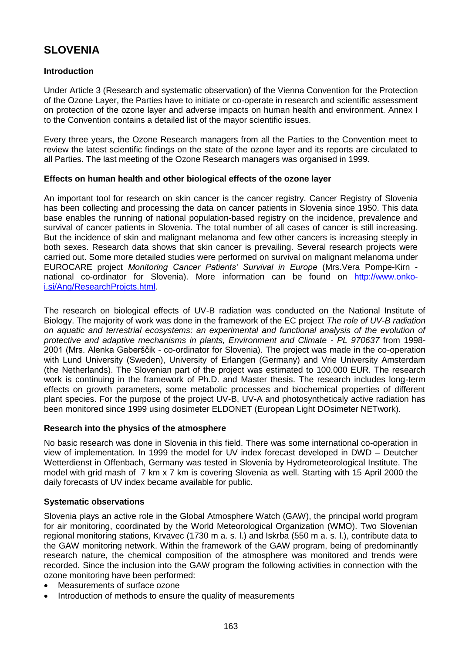# **SLOVENIA**

# **Introduction**

Under Article 3 (Research and systematic observation) of the Vienna Convention for the Protection of the Ozone Layer, the Parties have to initiate or co-operate in research and scientific assessment on protection of the ozone layer and adverse impacts on human health and environment. Annex I to the Convention contains a detailed list of the mayor scientific issues.

Every three years, the Ozone Research managers from all the Parties to the Convention meet to review the latest scientific findings on the state of the ozone layer and its reports are circulated to all Parties. The last meeting of the Ozone Research managers was organised in 1999.

## **Effects on human health and other biological effects of the ozone layer**

An important tool for research on skin cancer is the cancer registry. Cancer Registry of Slovenia has been collecting and processing the data on cancer patients in Slovenia since 1950. This data base enables the running of national population-based registry on the incidence, prevalence and survival of cancer patients in Slovenia. The total number of all cases of cancer is still increasing. But the incidence of skin and malignant melanoma and few other cancers is increasing steeply in both sexes. Research data shows that skin cancer is prevailing. Several research projects were carried out. Some more detailed studies were performed on survival on malignant melanoma under EUROCARE project *Monitoring Cancer Patients' Survival in Europe* (Mrs.Vera Pompe-Kirn national co-ordinator for Slovenia). More information can be found on [http://www.onko](http://www.onko-i.si/Ang/ResearchProjcts.html)[i.si/Ang/ResearchProjcts.html.](http://www.onko-i.si/Ang/ResearchProjcts.html)

The research on biological effects of UV-B radiation was conducted on the National Institute of Biology. The majority of work was done in the framework of the EC project *The role of UV-B radiation on aquatic and terrestrial ecosystems: an experimental and functional analysis of the evolution of protective and adaptive mechanisms in plants, Environment and Climate - PL 970637* from 1998- 2001 (Mrs. Alenka Gaberščik - co-ordinator for Slovenia). The project was made in the co-operation with Lund University (Sweden), University of Erlangen (Germany) and Vrie University Amsterdam (the Netherlands). The Slovenian part of the project was estimated to 100.000 EUR. The research work is continuing in the framework of Ph.D. and Master thesis. The research includes long-term effects on growth parameters, some metabolic processes and biochemical properties of different plant species. For the purpose of the project UV-B, UV-A and photosyntheticaly active radiation has been monitored since 1999 using dosimeter ELDONET (European Light DOsimeter NETwork).

## **Research into the physics of the atmosphere**

No basic research was done in Slovenia in this field. There was some international co-operation in view of implementation. In 1999 the model for UV index forecast developed in DWD – Deutcher Wetterdienst in Offenbach, Germany was tested in Slovenia by Hydrometeorological Institute. The model with grid mash of 7 km x 7 km is covering Slovenia as well. Starting with 15 April 2000 the daily forecasts of UV index became available for public.

## **Systematic observations**

Slovenia plays an active role in the Global Atmosphere Watch (GAW), the principal world program for air monitoring, coordinated by the World Meteorological Organization (WMO). Two Slovenian regional monitoring stations, Krvavec (1730 m a. s. l.) and Iskrba (550 m a. s. l.), contribute data to the GAW monitoring network. Within the framework of the GAW program, being of predominantly research nature, the chemical composition of the atmosphere was monitored and trends were recorded. Since the inclusion into the GAW program the following activities in connection with the ozone monitoring have been performed:

- Measurements of surface ozone
- Introduction of methods to ensure the quality of measurements